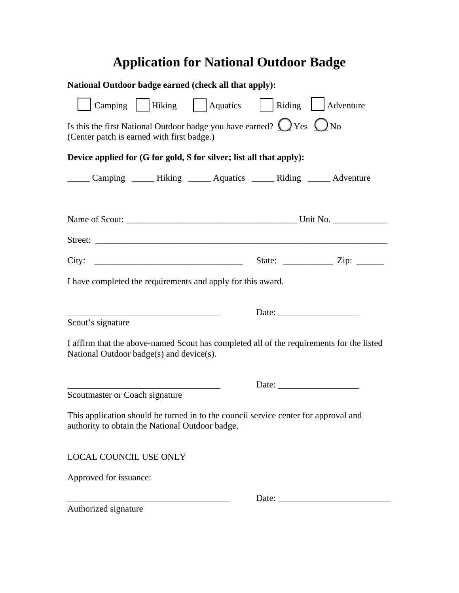## **Application for National Outdoor Badge**

| National Outdoor badge earned (check all that apply):                                                                                  |                                                                                                                                                                                                                                                                                                                                                                                                               |  |  |  |  |
|----------------------------------------------------------------------------------------------------------------------------------------|---------------------------------------------------------------------------------------------------------------------------------------------------------------------------------------------------------------------------------------------------------------------------------------------------------------------------------------------------------------------------------------------------------------|--|--|--|--|
| Camping   Hiking   Aquatics                                                                                                            | Riding Adventure                                                                                                                                                                                                                                                                                                                                                                                              |  |  |  |  |
| Is this the first National Outdoor badge you have earned? $Q$ Yes $Q$ No<br>(Center patch is earned with first badge.)                 |                                                                                                                                                                                                                                                                                                                                                                                                               |  |  |  |  |
| Device applied for (G for gold, S for silver; list all that apply):                                                                    |                                                                                                                                                                                                                                                                                                                                                                                                               |  |  |  |  |
| Camping _______ Hiking _______ Aquatics _______ Riding _______ Adventure                                                               |                                                                                                                                                                                                                                                                                                                                                                                                               |  |  |  |  |
|                                                                                                                                        |                                                                                                                                                                                                                                                                                                                                                                                                               |  |  |  |  |
|                                                                                                                                        |                                                                                                                                                                                                                                                                                                                                                                                                               |  |  |  |  |
|                                                                                                                                        | City: $\frac{1}{2}$ State: $\frac{1}{2}$ State: $\frac{1}{2}$ Zip: $\frac{1}{2}$                                                                                                                                                                                                                                                                                                                              |  |  |  |  |
| I have completed the requirements and apply for this award.                                                                            |                                                                                                                                                                                                                                                                                                                                                                                                               |  |  |  |  |
| <u> 1965 - Johann John Harry, mars an t-Amerikaansk fersk foarmen (de oarste de oarste de oarste de oarste de oar</u>                  |                                                                                                                                                                                                                                                                                                                                                                                                               |  |  |  |  |
| Scout's signature                                                                                                                      |                                                                                                                                                                                                                                                                                                                                                                                                               |  |  |  |  |
| National Outdoor badge(s) and device(s).                                                                                               | I affirm that the above-named Scout has completed all of the requirements for the listed                                                                                                                                                                                                                                                                                                                      |  |  |  |  |
|                                                                                                                                        |                                                                                                                                                                                                                                                                                                                                                                                                               |  |  |  |  |
| Scoutmaster or Coach signature                                                                                                         |                                                                                                                                                                                                                                                                                                                                                                                                               |  |  |  |  |
| This application should be turned in to the council service center for approval and<br>authority to obtain the National Outdoor badge. |                                                                                                                                                                                                                                                                                                                                                                                                               |  |  |  |  |
| LOCAL COUNCIL USE ONLY                                                                                                                 |                                                                                                                                                                                                                                                                                                                                                                                                               |  |  |  |  |
| Approved for issuance:                                                                                                                 |                                                                                                                                                                                                                                                                                                                                                                                                               |  |  |  |  |
|                                                                                                                                        | Date: $\frac{1}{\sqrt{1-\frac{1}{2}}\sqrt{1-\frac{1}{2}}\sqrt{1-\frac{1}{2}}\sqrt{1-\frac{1}{2}}\sqrt{1-\frac{1}{2}}\sqrt{1-\frac{1}{2}}\sqrt{1-\frac{1}{2}}\sqrt{1-\frac{1}{2}}\sqrt{1-\frac{1}{2}}\sqrt{1-\frac{1}{2}}\sqrt{1-\frac{1}{2}}\sqrt{1-\frac{1}{2}}\sqrt{1-\frac{1}{2}}\sqrt{1-\frac{1}{2}}\sqrt{1-\frac{1}{2}}\sqrt{1-\frac{1}{2}}\sqrt{1-\frac{1}{2}}\sqrt{1-\frac{1}{2}}\sqrt{1-\frac{1}{2}}$ |  |  |  |  |
| Authorized signature                                                                                                                   |                                                                                                                                                                                                                                                                                                                                                                                                               |  |  |  |  |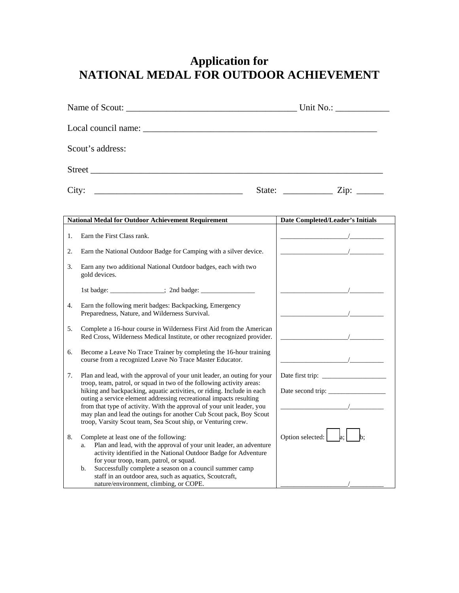## **Application for NATIONAL MEDAL FOR OUTDOOR ACHIEVEMENT**

|                | Scout's address:                                                                                                |                                         |  |
|----------------|-----------------------------------------------------------------------------------------------------------------|-----------------------------------------|--|
|                |                                                                                                                 |                                         |  |
|                |                                                                                                                 |                                         |  |
|                | <b>National Medal for Outdoor Achievement Requirement</b>                                                       | <b>Date Completed/Leader's Initials</b> |  |
| $\mathbf{1}$ . | Earn the First Class rank.                                                                                      | $\overline{\phantom{a}}$                |  |
| 2.             | Earn the National Outdoor Badge for Camping with a silver device.                                               |                                         |  |
| 3.             | Earn any two additional National Outdoor badges, each with two<br>gold devices.                                 |                                         |  |
|                |                                                                                                                 |                                         |  |
| 4.             | Earn the following merit badges: Backpacking, Emergency<br>Preparedness, Nature, and Wilderness Survival.       |                                         |  |
|                | in a communication of the communication of the communication of the communication of the communication of the c |                                         |  |

- 5. Complete a 16-hour course in Wilderness First Aid from the Amer Red Cross, Wilderness Medical Institute, or other recognized prov
- 6. Become a Leave No Trace Trainer by completing the 16-hour train course from a recognized Leave No Trace Master Educator.
- 7. Plan and lead, with the approval of your unit leader, an outing for troop, team, patrol, or squad in two of the following activity areas: hiking and backpacking, aquatic activities, or riding. Include in ea outing a service element addressing recreational impacts resulting from that type of activity. With the approval of your unit leader, y may plan and lead the outings for another Cub Scout pack, Boy Sc troop, Varsity Scout team, Sea Scout ship, or Venturing crew.
- 8. Complete at least one of the following: a. Plan and lead, with the approval of your unit leader, an adventure activity identified in the National Outdoor Badge for Adventu for your troop, team, patrol, or squad.
	- b. Successfully complete a season on a council summer camp staff in an outdoor area, such as aquatics, Scoutcraft, nature/environment, climbing, or COPE.

| e.     |                                                                                                                       |
|--------|-----------------------------------------------------------------------------------------------------------------------|
|        |                                                                                                                       |
|        |                                                                                                                       |
|        |                                                                                                                       |
|        |                                                                                                                       |
|        | $\mathcal{L} = \mathcal{L} \mathcal{L} = \mathcal{L} \mathcal{L}$                                                     |
|        |                                                                                                                       |
|        |                                                                                                                       |
|        | <u> 1990 - Jan Stein Barbara, politik e</u> ta provincia eta politikaria eta politikaria eta politikaria eta politika |
| rican  |                                                                                                                       |
| vider. |                                                                                                                       |
|        |                                                                                                                       |
| ning   |                                                                                                                       |
|        |                                                                                                                       |
|        |                                                                                                                       |
| your   |                                                                                                                       |
| ÷      |                                                                                                                       |
| ıch    |                                                                                                                       |
|        |                                                                                                                       |
| 'ou    |                                                                                                                       |
| cout   |                                                                                                                       |
|        |                                                                                                                       |
|        | Option selected: $\begin{bmatrix} a_1 \\ a_2 \end{bmatrix}$ b;                                                        |
| nture  |                                                                                                                       |
| ure    |                                                                                                                       |
|        |                                                                                                                       |
|        |                                                                                                                       |
|        |                                                                                                                       |
|        |                                                                                                                       |
|        |                                                                                                                       |